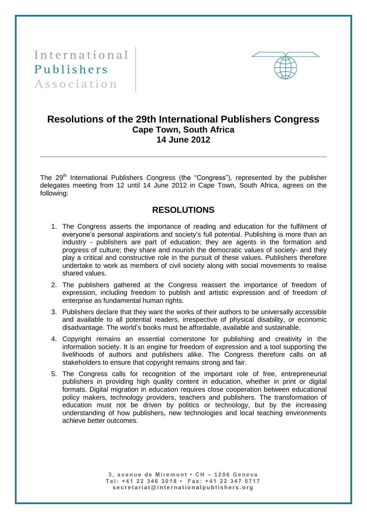International Publishers Association



## **Resolutions of the 29th International Publishers Congress Cape Town, South Africa 14 June 2012**

The 29<sup>th</sup> International Publishers Congress (the "Congress"), represented by the publisher delegates meeting from 12 until 14 June 2012 in Cape Town, South Africa, agrees on the following:

## **RESOLUTIONS**

- 1. The Congress asserts the importance of reading and education for the fulfilment of everyone's personal aspirations and society's full potential. Publishing is more than an industry - publishers are part of education; they are agents in the formation and progress of culture; they share and nourish the democratic values of society- and they play a critical and constructive role in the pursuit of these values. Publishers therefore undertake to work as members of civil society along with social movements to realise shared values.
- 2. The publishers gathered at the Congress reassert the importance of freedom of expression, including freedom to publish and artistic expression and of freedom of enterprise as fundamental human rights.
- 3. Publishers declare that they want the works of their authors to be universally accessible and available to all potential readers, irrespective of physical disability, or economic disadvantage. The world's books must be affordable, available and sustainable.
- 4. Copyright remains an essential cornerstone for publishing and creativity in the information society. It is an engine for freedom of expression and a tool supporting the livelihoods of authors and publishers alike. The Congress therefore calls on all stakeholders to ensure that copyright remains strong and fair.
- 5. The Congress calls for recognition of the important role of free, entrepreneurial publishers in providing high quality content in education, whether in print or digital formats. Digital migration in education requires close cooperation between educational policy makers, technology providers, teachers and publishers. The transformation of education must not be driven by politics or technology, but by the increasing understanding of how publishers, new technologies and local teaching environments achieve better outcomes.